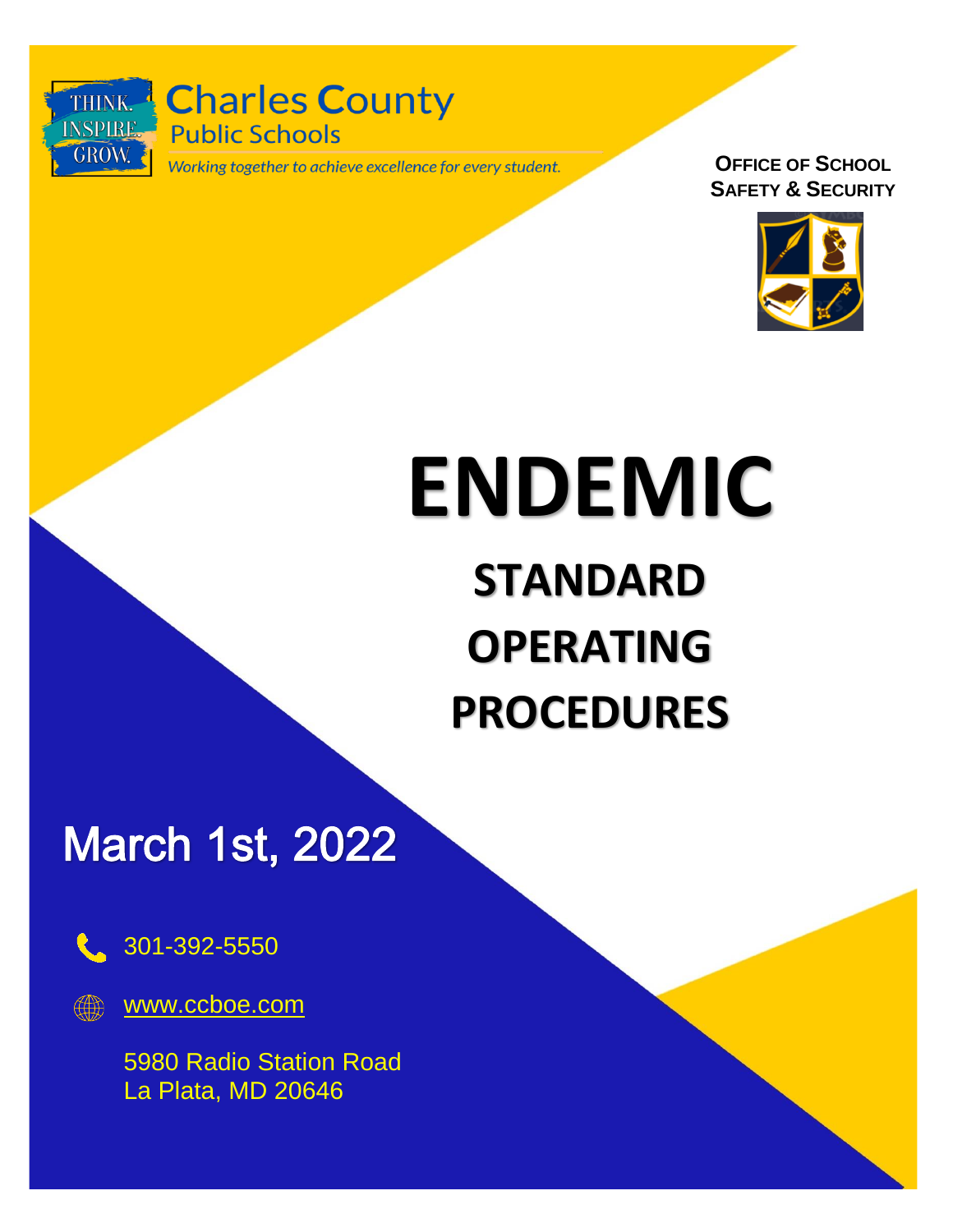

THINK. Charles County **Public Schools** 

Working together to achieve excellence for every student.

**OFFICE OF SCHOOL SAFETY & SECURITY**



# **ENDEMIC**

# **STANDARD OPERATING PROCEDURES**

**March 1st, 2022** 



301-392-5550

[www.ccboe.com](http://www.ccboe.com/)

5980 Radio Station Road La Plata, MD 20646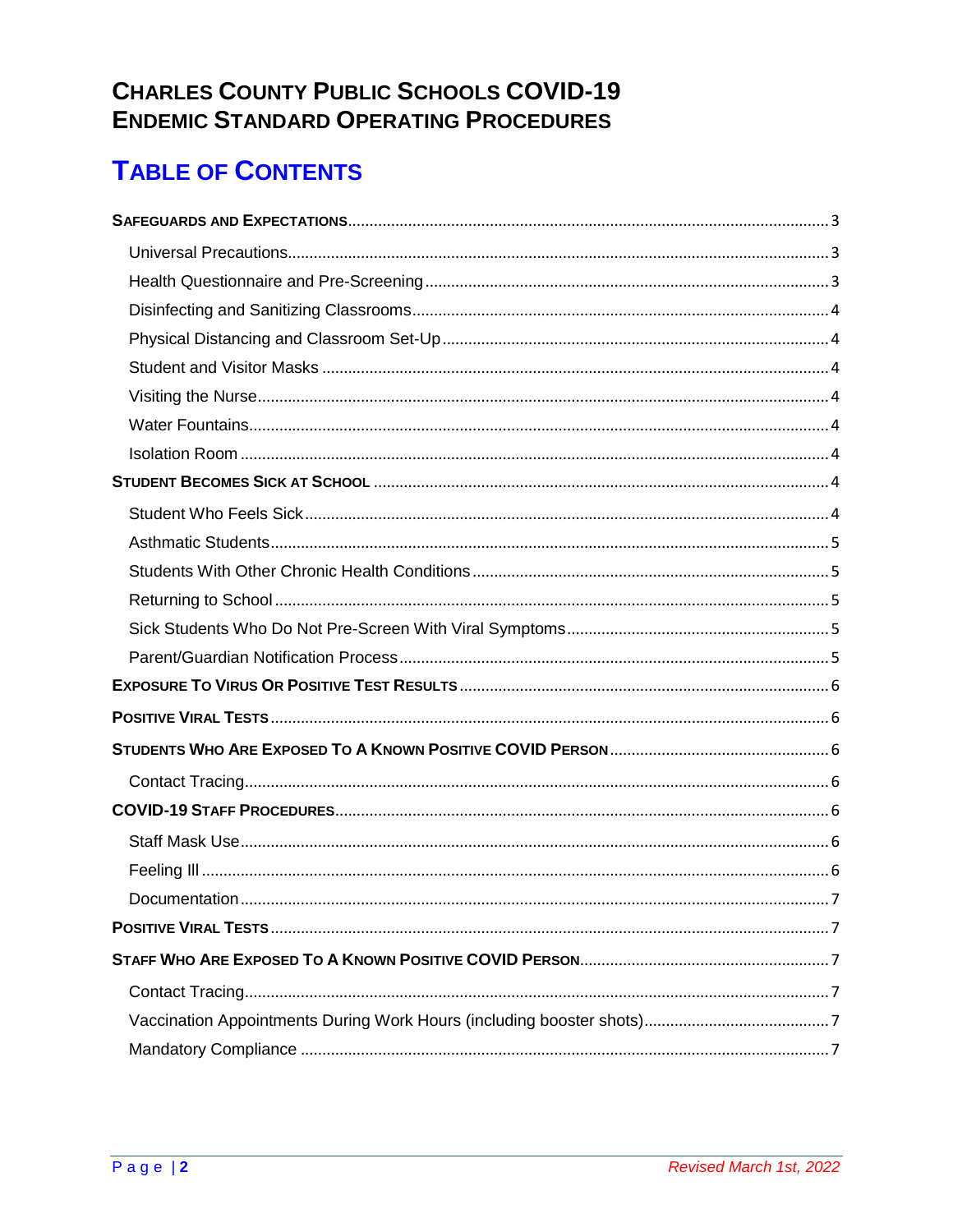### **CHARLES COUNTY PUBLIC SCHOOLS COVID-19 ENDEMIC STANDARD OPERATING PROCEDURES**

# **TABLE OF CONTENTS**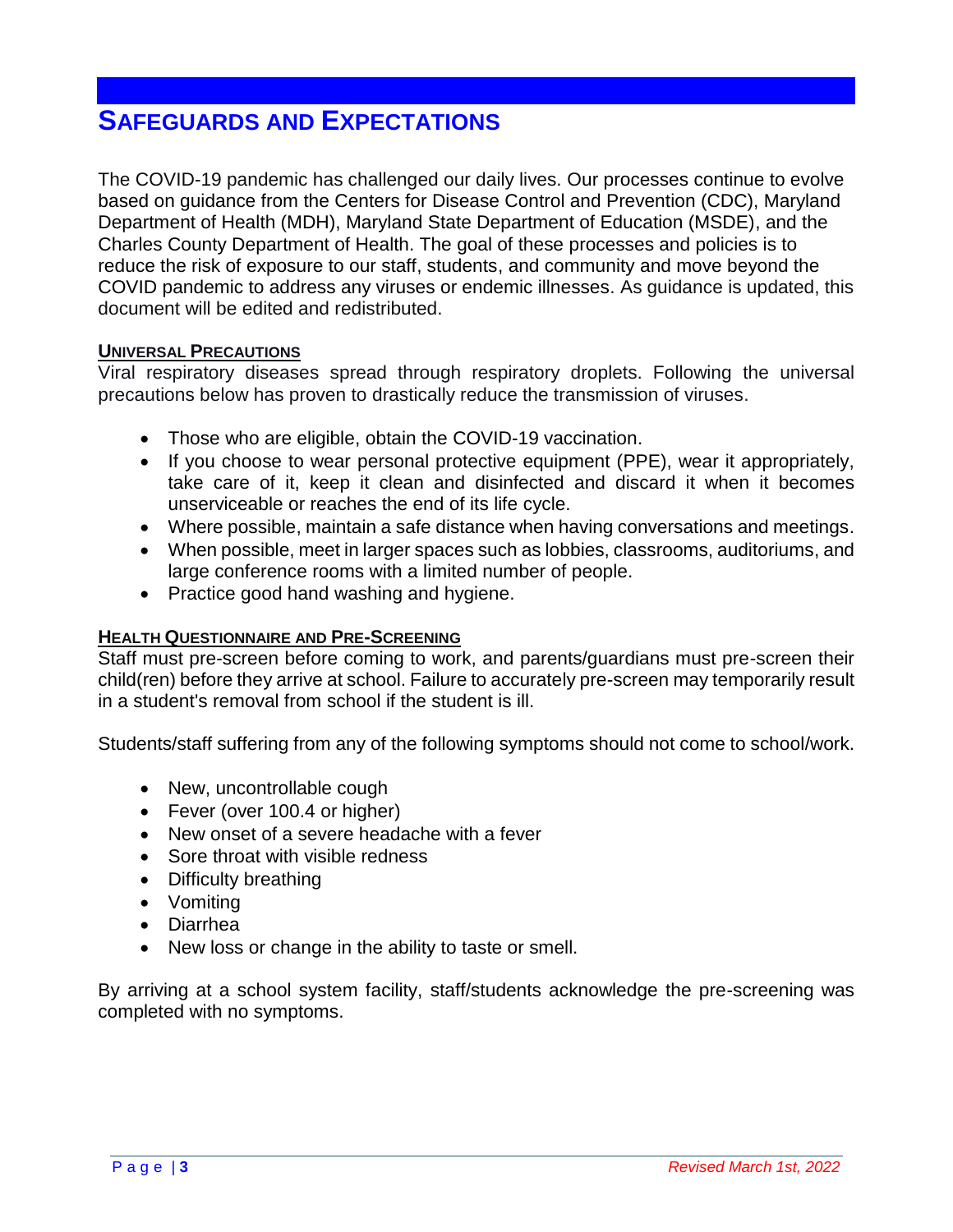# <span id="page-2-1"></span><span id="page-2-0"></span>**SAFEGUARDS AND EXPECTATIONS**

The COVID-19 pandemic has challenged our daily lives. Our processes continue to evolve based on guidance from the Centers for Disease Control and Prevention (CDC), Maryland Department of Health (MDH), Maryland State Department of Education (MSDE), and the Charles County Department of Health. The goal of these processes and policies is to reduce the risk of exposure to our staff, students, and community and move beyond the COVID pandemic to address any viruses or endemic illnesses. As guidance is updated, this document will be edited and redistributed.

#### **UNIVERSAL PRECAUTIONS**

Viral respiratory diseases spread through respiratory droplets. Following the universal precautions below has proven to drastically reduce the transmission of viruses.

- Those who are eligible, obtain the COVID-19 vaccination.
- If you choose to wear personal protective equipment (PPE), wear it appropriately, take care of it, keep it clean and disinfected and discard it when it becomes unserviceable or reaches the end of its life cycle.
- Where possible, maintain a safe distance when having conversations and meetings.
- When possible, meet in larger spaces such as lobbies, classrooms, auditoriums, and large conference rooms with a limited number of people.
- Practice good hand washing and hygiene.

#### <span id="page-2-2"></span>**HEALTH QUESTIONNAIRE AND PRE-SCREENING**

Staff must pre-screen before coming to work, and parents/guardians must pre-screen their child(ren) before they arrive at school. Failure to accurately pre-screen may temporarily result in a student's removal from school if the student is ill.

Students/staff suffering from any of the following symptoms should not come to school/work.

- New, uncontrollable cough
- Fever (over 100.4 or higher)
- New onset of a severe headache with a fever
- Sore throat with visible redness
- Difficulty breathing
- Vomiting
- Diarrhea
- New loss or change in the ability to taste or smell.

By arriving at a school system facility, staff/students acknowledge the pre-screening was completed with no symptoms.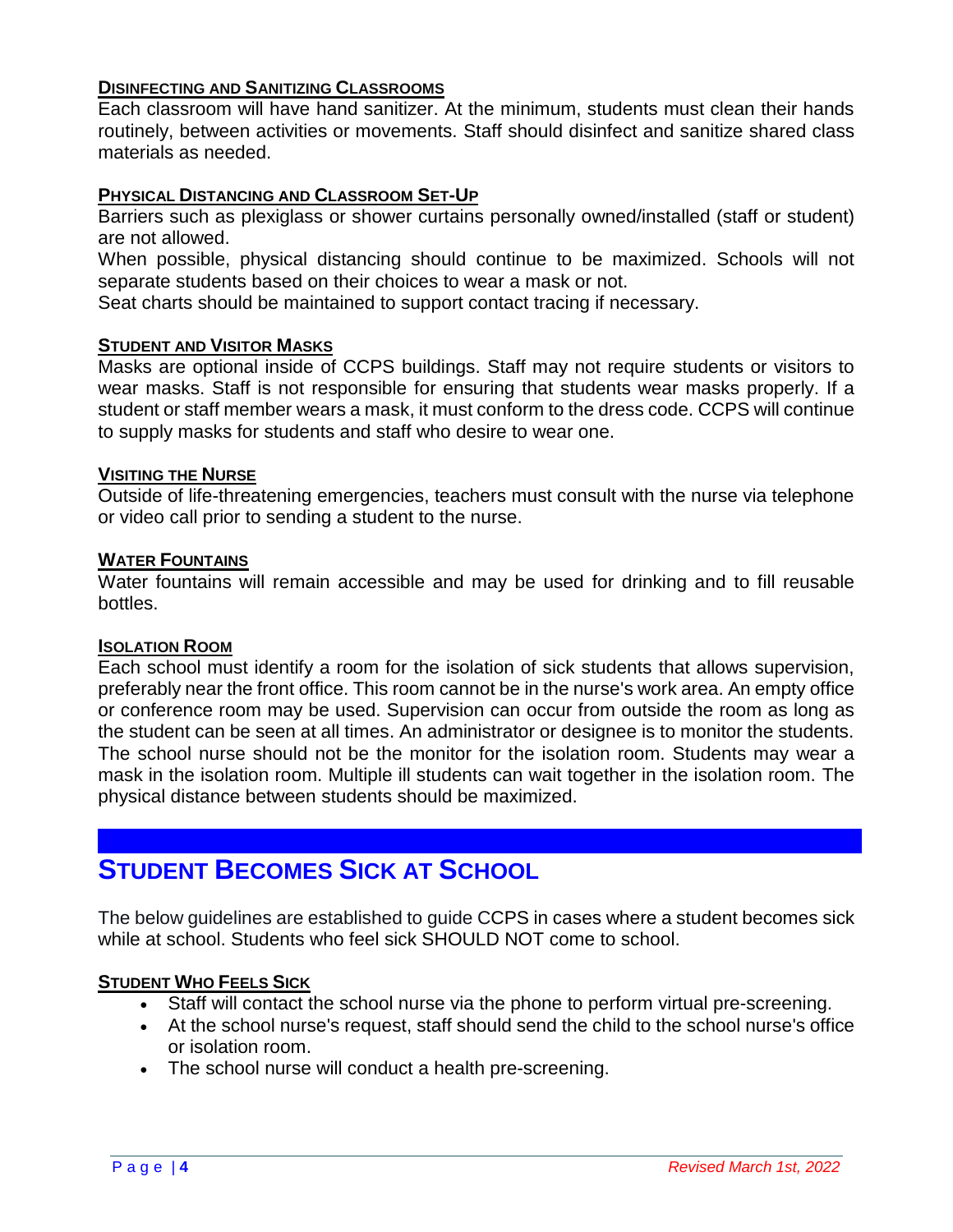#### <span id="page-3-0"></span>**DISINFECTING AND SANITIZING CLASSROOMS**

Each classroom will have hand sanitizer. At the minimum, students must clean their hands routinely, between activities or movements. Staff should disinfect and sanitize shared class materials as needed.

#### <span id="page-3-1"></span>**PHYSICAL DISTANCING AND CLASSROOM SET-UP**

Barriers such as plexiglass or shower curtains personally owned/installed (staff or student) are not allowed.

When possible, physical distancing should continue to be maximized. Schools will not separate students based on their choices to wear a mask or not.

Seat charts should be maintained to support contact tracing if necessary.

#### <span id="page-3-2"></span>**STUDENT AND VISITOR MASKS**

Masks are optional inside of CCPS buildings. Staff may not require students or visitors to wear masks. Staff is not responsible for ensuring that students wear masks properly. If a student or staff member wears a mask, it must conform to the dress code. CCPS will continue to supply masks for students and staff who desire to wear one.

#### <span id="page-3-3"></span>**VISITING THE NURSE**

Outside of life-threatening emergencies, teachers must consult with the nurse via telephone or video call prior to sending a student to the nurse.

#### <span id="page-3-4"></span>**WATER FOUNTAINS**

Water fountains will remain accessible and may be used for drinking and to fill reusable bottles.

#### <span id="page-3-5"></span>**ISOLATION ROOM**

Each school must identify a room for the isolation of sick students that allows supervision, preferably near the front office. This room cannot be in the nurse's work area. An empty office or conference room may be used. Supervision can occur from outside the room as long as the student can be seen at all times. An administrator or designee is to monitor the students. The school nurse should not be the monitor for the isolation room. Students may wear a mask in the isolation room. Multiple ill students can wait together in the isolation room. The physical distance between students should be maximized.

# <span id="page-3-6"></span>**STUDENT BECOMES SICK AT SCHOOL**

The below guidelines are established to guide CCPS in cases where a student becomes sick while at school. Students who feel sick SHOULD NOT come to school.

#### <span id="page-3-7"></span>**STUDENT WHO FEELS SICK**

- Staff will contact the school nurse via the phone to perform virtual pre-screening.
- At the school nurse's request, staff should send the child to the school nurse's office or isolation room.
- The school nurse will conduct a health pre-screening.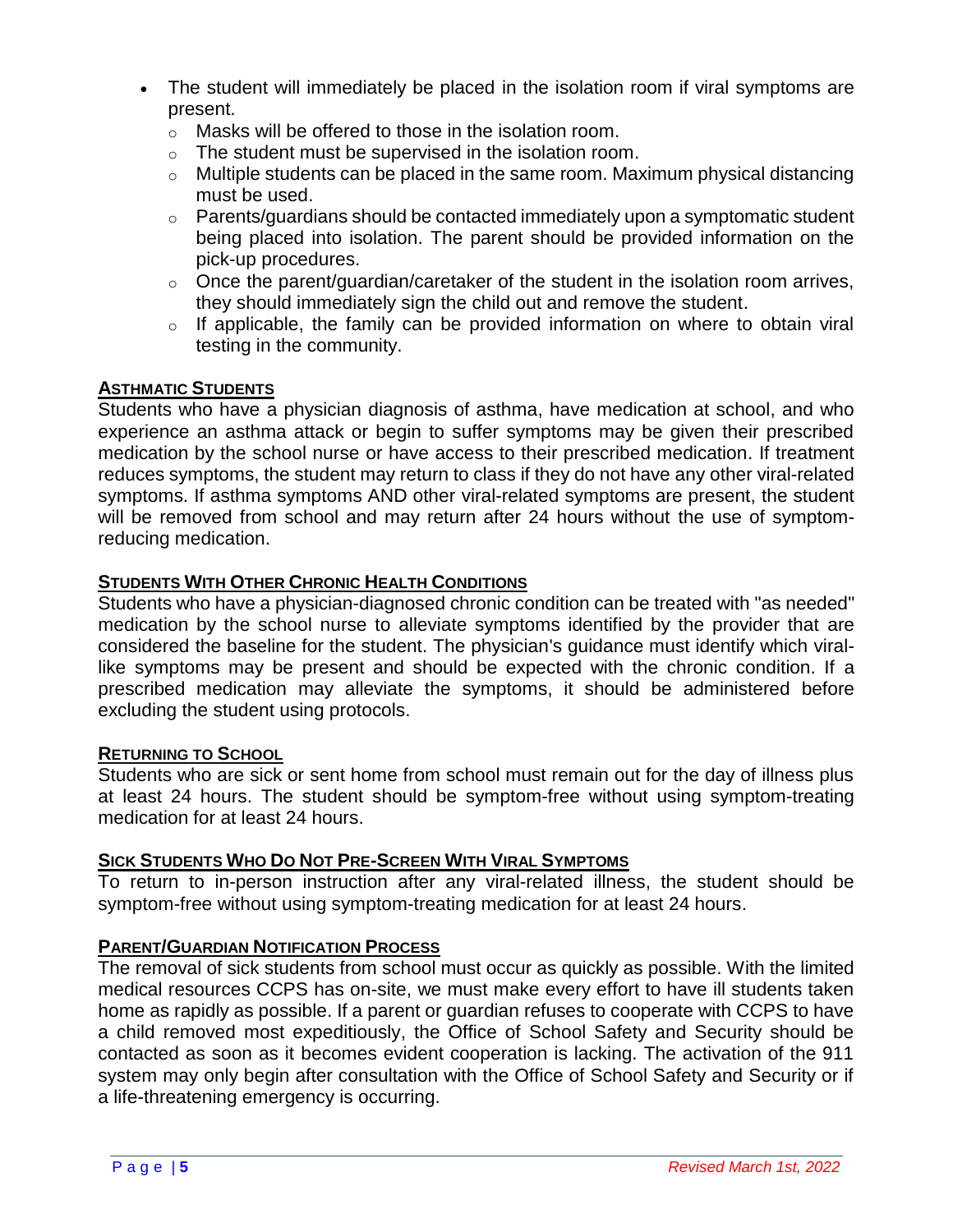- The student will immediately be placed in the isolation room if viral symptoms are present.
	- o Masks will be offered to those in the isolation room.
	- o The student must be supervised in the isolation room.
	- $\circ$  Multiple students can be placed in the same room. Maximum physical distancing must be used.
	- $\circ$  Parents/guardians should be contacted immediately upon a symptomatic student being placed into isolation. The parent should be provided information on the pick-up procedures.
	- $\circ$  Once the parent/quardian/caretaker of the student in the isolation room arrives, they should immediately sign the child out and remove the student.
	- $\circ$  If applicable, the family can be provided information on where to obtain viral testing in the community.

#### <span id="page-4-0"></span>**ASTHMATIC STUDENTS**

Students who have a physician diagnosis of asthma, have medication at school, and who experience an asthma attack or begin to suffer symptoms may be given their prescribed medication by the school nurse or have access to their prescribed medication. If treatment reduces symptoms, the student may return to class if they do not have any other viral-related symptoms. If asthma symptoms AND other viral-related symptoms are present, the student will be removed from school and may return after 24 hours without the use of symptomreducing medication.

#### <span id="page-4-1"></span>**STUDENTS WITH OTHER CHRONIC HEALTH CONDITIONS**

Students who have a physician-diagnosed chronic condition can be treated with "as needed" medication by the school nurse to alleviate symptoms identified by the provider that are considered the baseline for the student. The physician's guidance must identify which virallike symptoms may be present and should be expected with the chronic condition. If a prescribed medication may alleviate the symptoms, it should be administered before excluding the student using protocols.

#### <span id="page-4-2"></span>**RETURNING TO SCHOOL**

Students who are sick or sent home from school must remain out for the day of illness plus at least 24 hours. The student should be symptom-free without using symptom-treating medication for at least 24 hours.

#### <span id="page-4-3"></span>**SICK STUDENTS WHO DO NOT PRE-SCREEN WITH VIRAL SYMPTOMS**

To return to in-person instruction after any viral-related illness, the student should be symptom-free without using symptom-treating medication for at least 24 hours.

#### <span id="page-4-4"></span>**PARENT/GUARDIAN NOTIFICATION PROCESS**

The removal of sick students from school must occur as quickly as possible. With the limited medical resources CCPS has on-site, we must make every effort to have ill students taken home as rapidly as possible. If a parent or guardian refuses to cooperate with CCPS to have a child removed most expeditiously, the Office of School Safety and Security should be contacted as soon as it becomes evident cooperation is lacking. The activation of the 911 system may only begin after consultation with the Office of School Safety and Security or if a life-threatening emergency is occurring.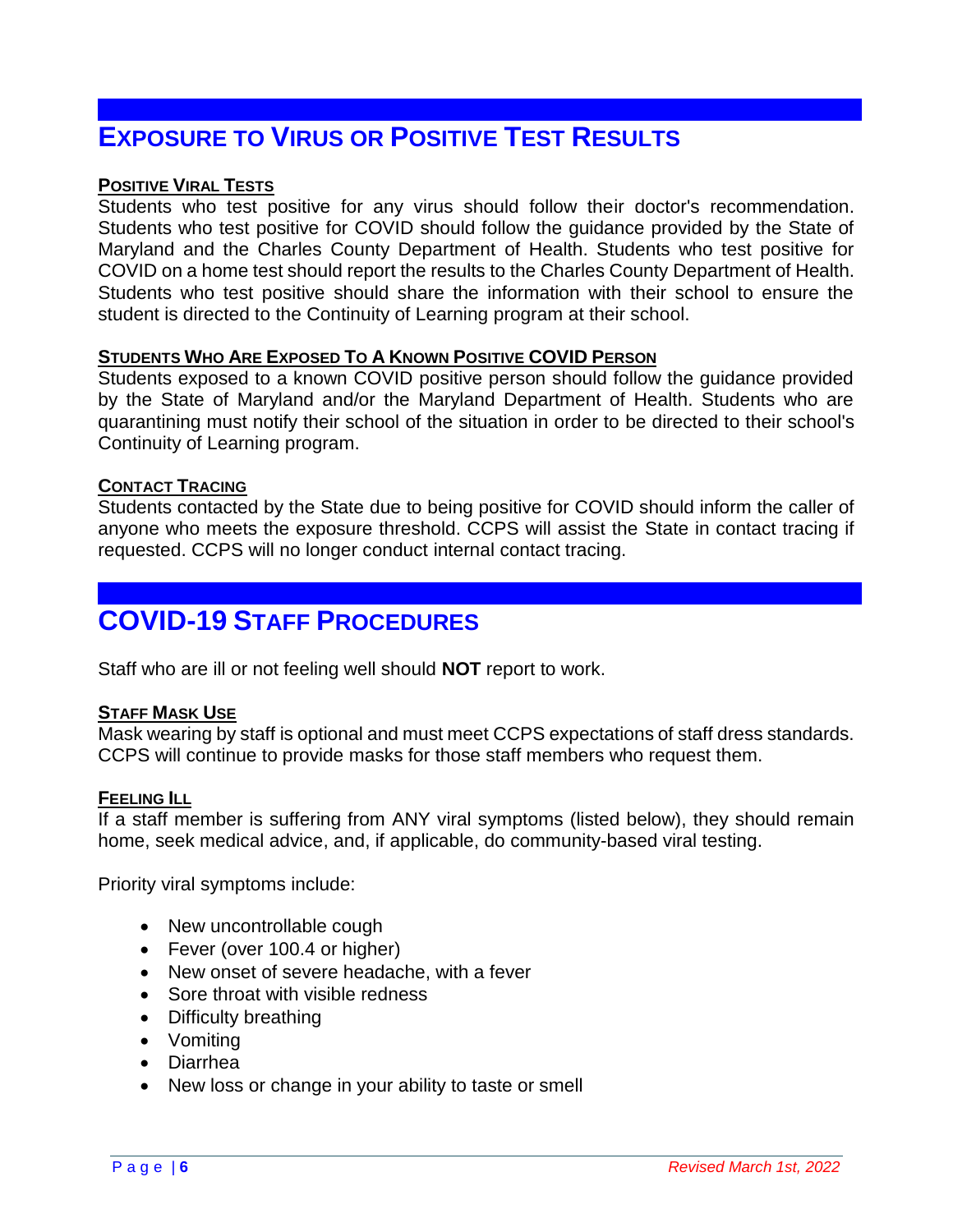# <span id="page-5-0"></span>**EXPOSURE TO VIRUS OR POSITIVE TEST RESULTS**

#### <span id="page-5-1"></span>**POSITIVE VIRAL TESTS**

Students who test positive for any virus should follow their doctor's recommendation. Students who test positive for COVID should follow the guidance provided by the State of Maryland and the Charles County Department of Health. Students who test positive for COVID on a home test should report the results to the Charles County Department of Health. Students who test positive should share the information with their school to ensure the student is directed to the Continuity of Learning program at their school.

#### <span id="page-5-2"></span>**STUDENTS WHO ARE EXPOSED TO A KNOWN POSITIVE COVID PERSON**

Students exposed to a known COVID positive person should follow the guidance provided by the State of Maryland and/or the Maryland Department of Health. Students who are quarantining must notify their school of the situation in order to be directed to their school's Continuity of Learning program.

#### <span id="page-5-3"></span>**CONTACT TRACING**

Students contacted by the State due to being positive for COVID should inform the caller of anyone who meets the exposure threshold. CCPS will assist the State in contact tracing if requested. CCPS will no longer conduct internal contact tracing.

# <span id="page-5-4"></span>**COVID-19 STAFF PROCEDURES**

Staff who are ill or not feeling well should **NOT** report to work.

#### <span id="page-5-5"></span>**STAFF MASK USE**

Mask wearing by staff is optional and must meet CCPS expectations of staff dress standards. CCPS will continue to provide masks for those staff members who request them.

#### <span id="page-5-6"></span>**FEELING ILL**

If a staff member is suffering from ANY viral symptoms (listed below), they should remain home, seek medical advice, and, if applicable, do community-based viral testing.

Priority viral symptoms include:

- New uncontrollable cough
- Fever (over 100.4 or higher)
- New onset of severe headache, with a fever
- Sore throat with visible redness
- Difficulty breathing
- Vomiting
- Diarrhea
- New loss or change in your ability to taste or smell